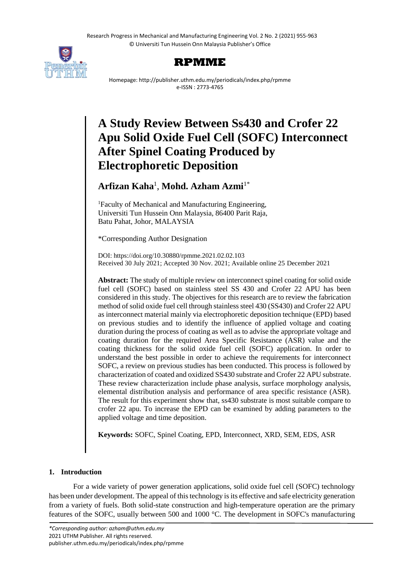Research Progress in Mechanical and Manufacturing Engineering Vol. 2 No. 2 (2021) 955-963 © Universiti Tun Hussein Onn Malaysia Publisher's Office





Homepage: http://publisher.uthm.edu.my/periodicals/index.php/rpmme e-ISSN : 2773-4765

# **A Study Review Between Ss430 and Crofer 22 Apu Solid Oxide Fuel Cell (SOFC) Interconnect After Spinel Coating Produced by Electrophoretic Deposition**

# **Arfizan Kaha**<sup>1</sup> , **Mohd. Azham Azmi**1\*

<sup>1</sup>Faculty of Mechanical and Manufacturing Engineering, Universiti Tun Hussein Onn Malaysia, 86400 Parit Raja, Batu Pahat, Johor, MALAYSIA

\*Corresponding Author Designation

DOI: https://doi.org/10.30880/rpmme.2021.02.02.103 Received 30 July 2021; Accepted 30 Nov. 2021; Available online 25 December 2021

**Abstract:** The study of multiple review on interconnect spinel coating for solid oxide fuel cell (SOFC) based on stainless steel SS 430 and Crofer 22 APU has been considered in this study. The objectives for this research are to review the fabrication method of solid oxide fuel cell through stainless steel 430 (SS430) and Crofer 22 APU as interconnect material mainly via electrophoretic deposition technique (EPD) based on previous studies and to identify the influence of applied voltage and coating duration during the process of coating as well as to advise the appropriate voltage and coating duration for the required Area Specific Resistance (ASR) value and the coating thickness for the solid oxide fuel cell (SOFC) application. In order to understand the best possible in order to achieve the requirements for interconnect SOFC, a review on previous studies has been conducted. This process is followed by characterization of coated and oxidized SS430 substrate and Crofer 22 APU substrate. These review characterization include phase analysis, surface morphology analysis, elemental distribution analysis and performance of area specific resistance (ASR). The result for this experiment show that, ss430 substrate is most suitable compare to crofer 22 apu. To increase the EPD can be examined by adding parameters to the applied voltage and time deposition.

**Keywords:** SOFC, Spinel Coating, EPD, Interconnect, XRD, SEM, EDS, ASR

# **1. Introduction**

For a wide variety of power generation applications, solid oxide fuel cell (SOFC) technology has been under development. The appeal of this technology is its effective and safe electricity generation from a variety of fuels. Both solid-state construction and high-temperature operation are the primary features of the SOFC, usually between 500 and 1000 °C. The development in SOFC's manufacturing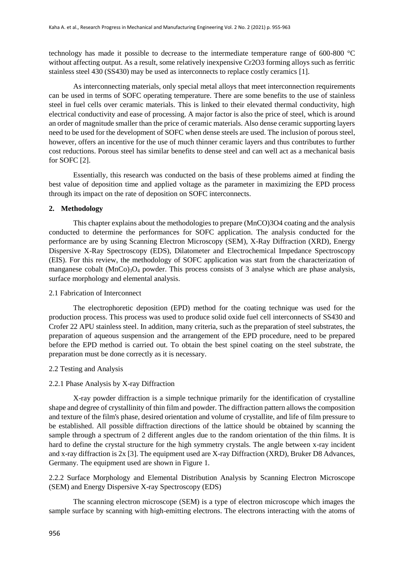technology has made it possible to decrease to the intermediate temperature range of 600-800 °C without affecting output. As a result, some relatively inexpensive Cr2O3 forming alloys such as ferritic stainless steel 430 (SS430) may be used as interconnects to replace costly ceramics [1].

As interconnecting materials, only special metal alloys that meet interconnection requirements can be used in terms of SOFC operating temperature. There are some benefits to the use of stainless steel in fuel cells over ceramic materials. This is linked to their elevated thermal conductivity, high electrical conductivity and ease of processing. A major factor is also the price of steel, which is around an order of magnitude smaller than the price of ceramic materials. Also dense ceramic supporting layers need to be used for the development of SOFC when dense steels are used. The inclusion of porous steel, however, offers an incentive for the use of much thinner ceramic layers and thus contributes to further cost reductions. Porous steel has similar benefits to dense steel and can well act as a mechanical basis for SOFC [2].

Essentially, this research was conducted on the basis of these problems aimed at finding the best value of deposition time and applied voltage as the parameter in maximizing the EPD process through its impact on the rate of deposition on SOFC interconnects.

# **2. Methodology**

This chapter explains about the methodologies to prepare (MnCO)3O4 coating and the analysis conducted to determine the performances for SOFC application. The analysis conducted for the performance are by using Scanning Electron Microscopy (SEM), X-Ray Diffraction (XRD), Energy Dispersive X-Ray Spectroscopy (EDS), Dilatometer and Electrochemical Impedance Spectroscopy (EIS). For this review, the methodology of SOFC application was start from the characterization of manganese cobalt (MnCo)<sub>3</sub>O<sub>4</sub> powder. This process consists of 3 analyse which are phase analysis, surface morphology and elemental analysis.

### 2.1 Fabrication of Interconnect

The electrophoretic deposition (EPD) method for the coating technique was used for the production process. This process was used to produce solid oxide fuel cell interconnects of SS430 and Crofer 22 APU stainless steel. In addition, many criteria, such as the preparation of steel substrates, the preparation of aqueous suspension and the arrangement of the EPD procedure, need to be prepared before the EPD method is carried out. To obtain the best spinel coating on the steel substrate, the preparation must be done correctly as it is necessary.

#### 2.2 Testing and Analysis

#### 2.2.1 Phase Analysis by X-ray Diffraction

X-ray powder diffraction is a simple technique primarily for the identification of crystalline shape and degree of crystallinity of thin film and powder. The diffraction pattern allows the composition and texture of the film's phase, desired orientation and volume of crystallite, and life of film pressure to be established. All possible diffraction directions of the lattice should be obtained by scanning the sample through a spectrum of 2 different angles due to the random orientation of the thin films. It is hard to define the crystal structure for the high symmetry crystals. The angle between x-ray incident and x-ray diffraction is 2x [3]. The equipment used are X-ray Diffraction (XRD), Bruker D8 Advances, Germany. The equipment used are shown in Figure 1.

2.2.2 Surface Morphology and Elemental Distribution Analysis by Scanning Electron Microscope (SEM) and Energy Dispersive X-ray Spectroscopy (EDS)

The scanning electron microscope (SEM) is a type of electron microscope which images the sample surface by scanning with high-emitting electrons. The electrons interacting with the atoms of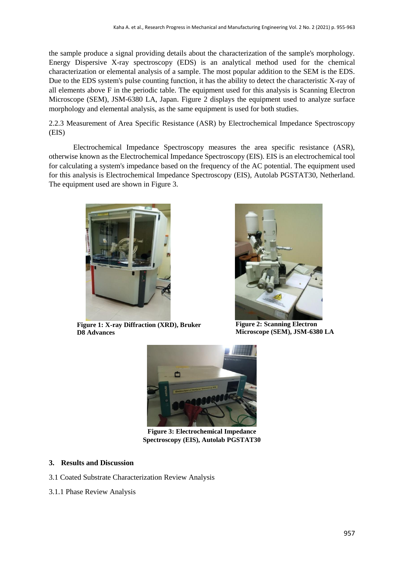the sample produce a signal providing details about the characterization of the sample's morphology. Energy Dispersive X-ray spectroscopy (EDS) is an analytical method used for the chemical characterization or elemental analysis of a sample. The most popular addition to the SEM is the EDS. Due to the EDS system's pulse counting function, it has the ability to detect the characteristic X-ray of all elements above F in the periodic table. The equipment used for this analysis is Scanning Electron Microscope (SEM), JSM-6380 LA, Japan. Figure 2 displays the equipment used to analyze surface morphology and elemental analysis, as the same equipment is used for both studies.

2.2.3 Measurement of Area Specific Resistance (ASR) by Electrochemical Impedance Spectroscopy (EIS)

Electrochemical Impedance Spectroscopy measures the area specific resistance (ASR), otherwise known as the Electrochemical Impedance Spectroscopy (EIS). EIS is an electrochemical tool for calculating a system's impedance based on the frequency of the AC potential. The equipment used for this analysis is Electrochemical Impedance Spectroscopy (EIS), Autolab PGSTAT30, Netherland. The equipment used are shown in Figure 3.



**Figure 1: X-ray Diffraction (XRD), Bruker D8 Advances**



**Figure 2: Scanning Electron Microscope (SEM), JSM-6380 LA**



**Figure 3: Electrochemical Impedance Spectroscopy (EIS), Autolab PGSTAT30**

# **3. Results and Discussion**

- 3.1 Coated Substrate Characterization Review Analysis
- 3.1.1 Phase Review Analysis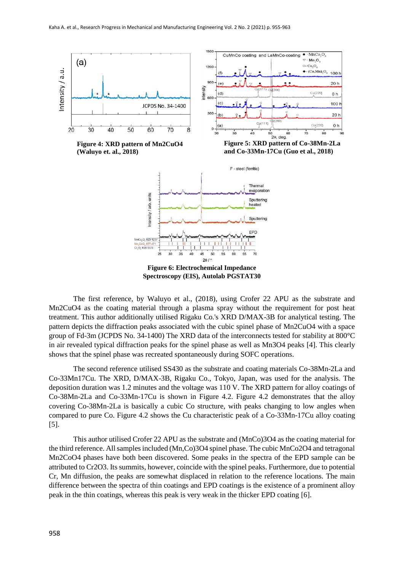

**Figure 4: XRD pattern of Mn2CuO4 (Waluyo et. al., 2018)**

**Figure 5: XRD pattern of Co-38Mn-2La and Co-33Mn-17Cu (Guo et al., 2018)**



**Spectroscopy (EIS), Autolab PGSTAT30**

The first reference, by Waluyo et al., (2018), using Crofer 22 APU as the substrate and Mn2CuO4 as the coating material through a plasma spray without the requirement for post heat treatment. This author additionally utilised Rigaku Co.'s XRD D/MAX-3B for analytical testing. The pattern depicts the diffraction peaks associated with the cubic spinel phase of Mn2CuO4 with a space group of Fd-3m (JCPDS No. 34-1400) The XRD data of the interconnects tested for stability at 800°C in air revealed typical diffraction peaks for the spinel phase as well as Mn3O4 peaks [4]. This clearly shows that the spinel phase was recreated spontaneously during SOFC operations.

The second reference utilised SS430 as the substrate and coating materials Co-38Mn-2La and Co-33Mn17Cu. The XRD, D/MAX-3B, Rigaku Co., Tokyo, Japan, was used for the analysis. The deposition duration was 1.2 minutes and the voltage was 110 V. The XRD pattern for alloy coatings of Co-38Mn-2La and Co-33Mn-17Cu is shown in Figure 4.2. Figure 4.2 demonstrates that the alloy covering Co-38Mn-2La is basically a cubic Co structure, with peaks changing to low angles when compared to pure Co. Figure 4.2 shows the Cu characteristic peak of a Co-33Mn-17Cu alloy coating [5].

This author utilised Crofer 22 APU as the substrate and (MnCo)3O4 as the coating material for the third reference. All samples included (Mn,Co)3O4 spinel phase. The cubic MnCo2O4 and tetragonal Mn2CoO4 phases have both been discovered. Some peaks in the spectra of the EPD sample can be attributed to Cr2O3. Its summits, however, coincide with the spinel peaks. Furthermore, due to potential Cr, Mn diffusion, the peaks are somewhat displaced in relation to the reference locations. The main difference between the spectra of thin coatings and EPD coatings is the existence of a prominent alloy peak in the thin coatings, whereas this peak is very weak in the thicker EPD coating [6].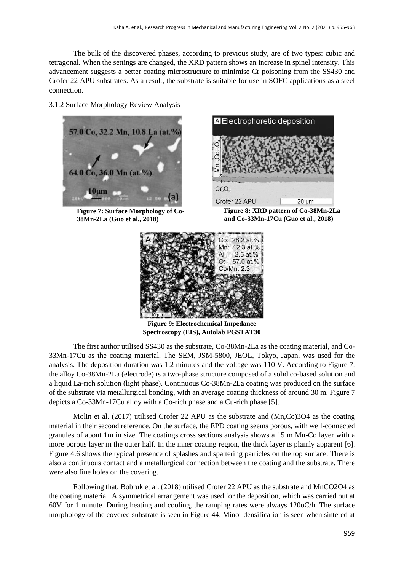The bulk of the discovered phases, according to previous study, are of two types: cubic and tetragonal. When the settings are changed, the XRD pattern shows an increase in spinel intensity. This advancement suggests a better coating microstructure to minimise Cr poisoning from the SS430 and Crofer 22 APU substrates. As a result, the substrate is suitable for use in SOFC applications as a steel connection.

3.1.2 Surface Morphology Review Analysis



**Figure 7: Surface Morphology of Co-38Mn-2La (Guo et al., 2018)**



**Figure 8: XRD pattern of Co-38Mn-2La and Co-33Mn-17Cu (Guo et al., 2018)**



**Figure 9: Electrochemical Impedance Spectroscopy (EIS), Autolab PGSTAT30**

The first author utilised SS430 as the substrate, Co-38Mn-2La as the coating material, and Co-33Mn-17Cu as the coating material. The SEM, JSM-5800, JEOL, Tokyo, Japan, was used for the analysis. The deposition duration was 1.2 minutes and the voltage was 110 V. According to Figure 7, the alloy Co-38Mn-2La (electrode) is a two-phase structure composed of a solid co-based solution and a liquid La-rich solution (light phase). Continuous Co-38Mn-2La coating was produced on the surface of the substrate via metallurgical bonding, with an average coating thickness of around 30 m. Figure 7 depicts a Co-33Mn-17Cu alloy with a Co-rich phase and a Cu-rich phase [5].

Molin et al. (2017) utilised Crofer 22 APU as the substrate and (Mn,Co)3O4 as the coating material in their second reference. On the surface, the EPD coating seems porous, with well-connected granules of about 1m in size. The coatings cross sections analysis shows a 15 m Mn-Co layer with a more porous layer in the outer half. In the inner coating region, the thick layer is plainly apparent [6]. Figure 4.6 shows the typical presence of splashes and spattering particles on the top surface. There is also a continuous contact and a metallurgical connection between the coating and the substrate. There were also fine holes on the covering.

Following that, Bobruk et al. (2018) utilised Crofer 22 APU as the substrate and MnCO2O4 as the coating material. A symmetrical arrangement was used for the deposition, which was carried out at 60V for 1 minute. During heating and cooling, the ramping rates were always 120oC/h. The surface morphology of the covered substrate is seen in Figure 44. Minor densification is seen when sintered at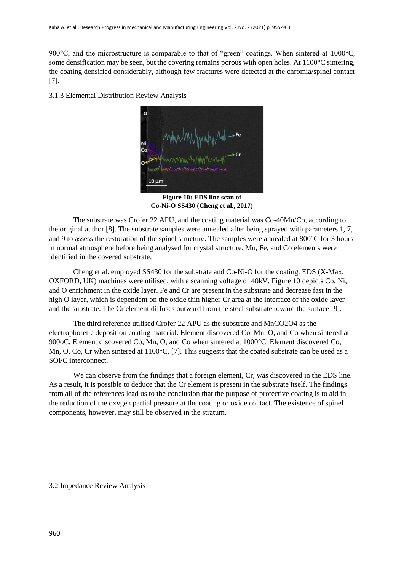900°C, and the microstructure is comparable to that of "green" coatings. When sintered at 1000°C, some densification may be seen, but the covering remains porous with open holes. At  $1100^{\circ}$ C sintering, the coating densified considerably, although few fractures were detected at the chromia/spinel contact [7].

3.1.3 Elemental Distribution Review Analysis



**Figure 10: EDS line scan of Co-Ni-O SS430 (Cheng et al., 2017)**

The substrate was Crofer 22 APU, and the coating material was Co-40Mn/Co, according to the original author [8]. The substrate samples were annealed after being sprayed with parameters 1, 7, and 9 to assess the restoration of the spinel structure. The samples were annealed at 800°C for 3 hours in normal atmosphere before being analysed for crystal structure. Mn, Fe, and Co elements were identified in the covered substrate.

Cheng et al. employed SS430 for the substrate and Co-Ni-O for the coating. EDS (X-Max, OXFORD, UK) machines were utilised, with a scanning voltage of 40kV. Figure 10 depicts Co, Ni, and O enrichment in the oxide layer. Fe and Cr are present in the substrate and decrease fast in the high O layer, which is dependent on the oxide thin higher Cr area at the interface of the oxide layer and the substrate. The Cr element diffuses outward from the steel substrate toward the surface [9].

The third reference utilised Crofer 22 APU as the substrate and MnCO2O4 as the electrophoretic deposition coating material. Element discovered Co, Mn, O, and Co when sintered at 900oC. Element discovered Co, Mn, O, and Co when sintered at 1000°C. Element discovered Co, Mn, O, Co, Cr when sintered at 1100<sup>o</sup>C. [7]. This suggests that the coated substrate can be used as a SOFC interconnect.

We can observe from the findings that a foreign element, Cr, was discovered in the EDS line. As a result, it is possible to deduce that the Cr element is present in the substrate itself. The findings from all of the references lead us to the conclusion that the purpose of protective coating is to aid in the reduction of the oxygen partial pressure at the coating or oxide contact. The existence of spinel components, however, may still be observed in the stratum.

3.2 Impedance Review Analysis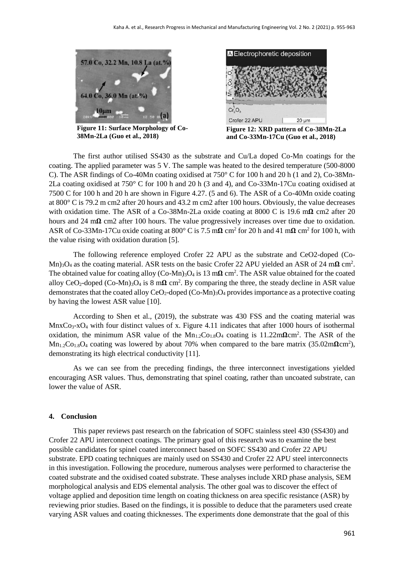

**Figure 11: Surface Morphology of Co-38Mn-2La (Guo et al., 2018)**



**Figure 12: XRD pattern of Co-38Mn-2La and Co-33Mn-17Cu (Guo et al., 2018)**

The first author utilised SS430 as the substrate and Cu/La doped Co-Mn coatings for the coating. The applied parameter was 5 V. The sample was heated to the desired temperature (500-8000 C). The ASR findings of Co-40Mn coating oxidised at 750° C for 100 h and 20 h (1 and 2), Co-38Mn-2La coating oxidised at 750° C for 100 h and 20 h (3 and 4), and Co-33Mn-17Cu coating oxidised at 7500 C for 100 h and 20 h are shown in Figure 4.27. (5 and 6). The ASR of a Co-40Mn oxide coating at 800° C is 79.2 m cm2 after 20 hours and 43.2 m cm2 after 100 hours. Obviously, the value decreases with oxidation time. The ASR of a Co-38Mn-2La oxide coating at 8000 C is 19.6 m $\Omega$  cm2 after 20 hours and 24 m $\Omega$  cm2 after 100 hours. The value progressively increases over time due to oxidation. ASR of Co-33Mn-17Cu oxide coating at 800 $^{\circ}$  C is 7.5 m $\Omega$  cm<sup>2</sup> for 20 h and 41 m $\Omega$  cm<sup>2</sup> for 100 h, with the value rising with oxidation duration [5].

The following reference employed Crofer 22 APU as the substrate and CeO2-doped (Co-Mn)<sub>3</sub>O<sub>4</sub> as the coating material. ASR tests on the basic Crofer 22 APU yielded an ASR of 24 m $\Omega$  cm<sup>2</sup>. The obtained value for coating alloy  $(Co-Mn)_3O_4$  is 13 m $\Omega$  cm<sup>2</sup>. The ASR value obtained for the coated alloy CeO<sub>2</sub>-doped (Co-Mn)<sub>3</sub>O<sub>4</sub> is 8 m $\Omega$  cm<sup>2</sup>. By comparing the three, the steady decline in ASR value demonstrates that the coated alloy  $CeO<sub>2</sub>$ -doped  $(Co-Mn)<sub>3</sub>O<sub>4</sub>$  provides importance as a protective coating by having the lowest ASR value [10].

According to Shen et al., (2019), the substrate was 430 FSS and the coating material was MnxCo<sub>3</sub>-xO<sub>4</sub> with four distinct values of x. Figure 4.11 indicates that after 1000 hours of isothermal oxidation, the minimum ASR value of the  $Mn_{1.2}Co_{1.8}O_4$  coating is 11.22m $\Omega$ cm<sup>2</sup>. The ASR of the  $Mn_{1.2}Co_{1.8}O_4$  coating was lowered by about 70% when compared to the bare matrix (35.02m $\Omega$ cm<sup>2</sup>), demonstrating its high electrical conductivity [11].

As we can see from the preceding findings, the three interconnect investigations yielded encouraging ASR values. Thus, demonstrating that spinel coating, rather than uncoated substrate, can lower the value of ASR.

#### **4. Conclusion**

This paper reviews past research on the fabrication of SOFC stainless steel 430 (SS430) and Crofer 22 APU interconnect coatings. The primary goal of this research was to examine the best possible candidates for spinel coated interconnect based on SOFC SS430 and Crofer 22 APU substrate. EPD coating techniques are mainly used on SS430 and Crofer 22 APU steel interconnects in this investigation. Following the procedure, numerous analyses were performed to characterise the coated substrate and the oxidised coated substrate. These analyses include XRD phase analysis, SEM morphological analysis and EDS elemental analysis. The other goal was to discover the effect of voltage applied and deposition time length on coating thickness on area specific resistance (ASR) by reviewing prior studies. Based on the findings, it is possible to deduce that the parameters used create varying ASR values and coating thicknesses. The experiments done demonstrate that the goal of this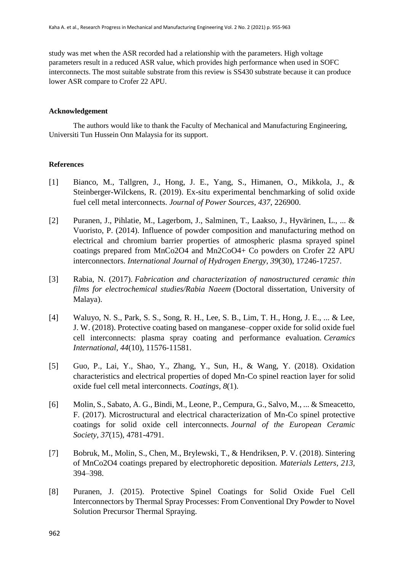study was met when the ASR recorded had a relationship with the parameters. High voltage parameters result in a reduced ASR value, which provides high performance when used in SOFC interconnects. The most suitable substrate from this review is SS430 substrate because it can produce lower ASR compare to Crofer 22 APU.

# **Acknowledgement**

The authors would like to thank the Faculty of Mechanical and Manufacturing Engineering, Universiti Tun Hussein Onn Malaysia for its support.

# **References**

- [1] Bianco, M., Tallgren, J., Hong, J. E., Yang, S., Himanen, O., Mikkola, J., & Steinberger-Wilckens, R. (2019). Ex-situ experimental benchmarking of solid oxide fuel cell metal interconnects. *Journal of Power Sources*, *437*, 226900.
- [2] Puranen, J., Pihlatie, M., Lagerbom, J., Salminen, T., Laakso, J., Hyvärinen, L., ... & Vuoristo, P. (2014). Influence of powder composition and manufacturing method on electrical and chromium barrier properties of atmospheric plasma sprayed spinel coatings prepared from MnCo2O4 and Mn2CoO4+ Co powders on Crofer 22 APU interconnectors. *International Journal of Hydrogen Energy*, *39*(30), 17246-17257.
- [3] Rabia, N. (2017). *Fabrication and characterization of nanostructured ceramic thin films for electrochemical studies/Rabia Naeem* (Doctoral dissertation, University of Malaya).
- [4] Waluyo, N. S., Park, S. S., Song, R. H., Lee, S. B., Lim, T. H., Hong, J. E., ... & Lee, J. W. (2018). Protective coating based on manganese–copper oxide for solid oxide fuel cell interconnects: plasma spray coating and performance evaluation. *Ceramics International*, *44*(10), 11576-11581.
- [5] Guo, P., Lai, Y., Shao, Y., Zhang, Y., Sun, H., & Wang, Y. (2018). Oxidation characteristics and electrical properties of doped Mn-Co spinel reaction layer for solid oxide fuel cell metal interconnects. *Coatings*, *8*(1).
- [6] Molin, S., Sabato, A. G., Bindi, M., Leone, P., Cempura, G., Salvo, M., ... & Smeacetto, F. (2017). Microstructural and electrical characterization of Mn-Co spinel protective coatings for solid oxide cell interconnects. *Journal of the European Ceramic Society*, *37*(15), 4781-4791.
- [7] Bobruk, M., Molin, S., Chen, M., Brylewski, T., & Hendriksen, P. V. (2018). Sintering of MnCo2O4 coatings prepared by electrophoretic deposition. *Materials Letters*, *213*, 394–398.
- [8] Puranen, J. (2015). Protective Spinel Coatings for Solid Oxide Fuel Cell Interconnectors by Thermal Spray Processes: From Conventional Dry Powder to Novel Solution Precursor Thermal Spraying.